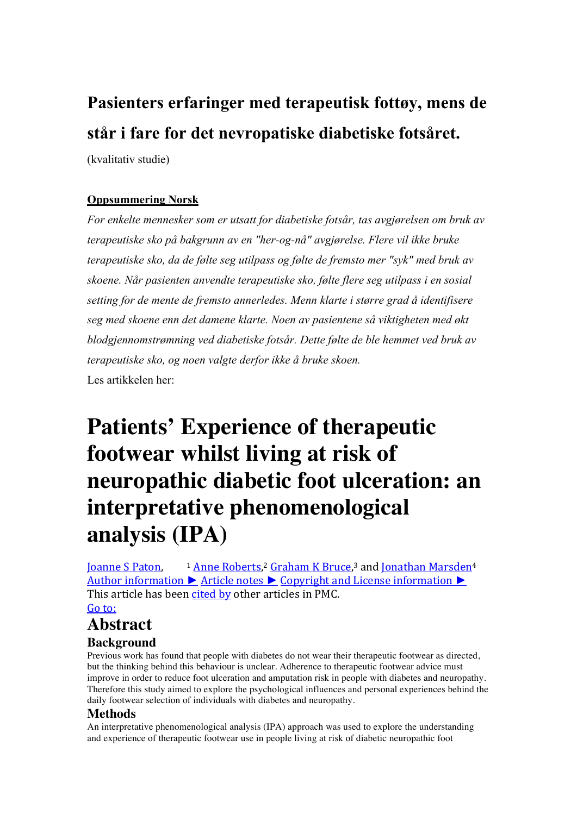# **Pasienters erfaringer med terapeutisk fottøy, mens de står i fare for det nevropatiske diabetiske fotsåret.**

(kvalitativ studie)

### **Oppsummering Norsk**

*For enkelte mennesker som er utsatt for diabetiske fotsår, tas avgjørelsen om bruk av terapeutiske sko på bakgrunn av en "her-og-nå" avgjørelse. Flere vil ikke bruke terapeutiske sko, da de følte seg utilpass og følte de fremsto mer "syk" med bruk av skoene. Når pasienten anvendte terapeutiske sko, følte flere seg utilpass i en sosial setting for de mente de fremsto annerledes. Menn klarte i større grad å identifisere seg med skoene enn det damene klarte. Noen av pasientene så viktigheten med økt blodgjennomstrømning ved diabetiske fotsår. Dette følte de ble hemmet ved bruk av terapeutiske sko, og noen valgte derfor ikke å bruke skoen.* Les artikkelen her:

# **Patients' Experience of therapeutic footwear whilst living at risk of neuropathic diabetic foot ulceration: an interpretative phenomenological analysis (IPA)**

Joanne S Paton, 1 Anne Roberts,<sup>2</sup> Graham K Bruce,<sup>3</sup> and <u>Jonathan Marsden</u>4 Author information  $\blacktriangleright$  Article notes  $\blacktriangleright$  Copyright and License information  $\blacktriangleright$ This article has been cited by other articles in PMC.

# Go to:

# **Abstract**

## **Background**

Previous work has found that people with diabetes do not wear their therapeutic footwear as directed, but the thinking behind this behaviour is unclear. Adherence to therapeutic footwear advice must improve in order to reduce foot ulceration and amputation risk in people with diabetes and neuropathy. Therefore this study aimed to explore the psychological influences and personal experiences behind the daily footwear selection of individuals with diabetes and neuropathy.

### **Methods**

An interpretative phenomenological analysis (IPA) approach was used to explore the understanding and experience of therapeutic footwear use in people living at risk of diabetic neuropathic foot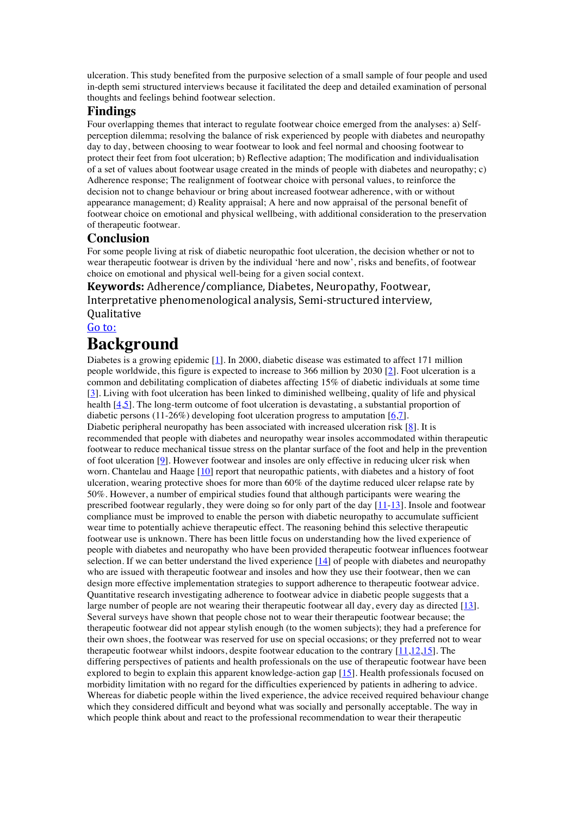ulceration. This study benefited from the purposive selection of a small sample of four people and used in-depth semi structured interviews because it facilitated the deep and detailed examination of personal thoughts and feelings behind footwear selection.

#### **Findings**

Four overlapping themes that interact to regulate footwear choice emerged from the analyses: a) Selfperception dilemma; resolving the balance of risk experienced by people with diabetes and neuropathy day to day, between choosing to wear footwear to look and feel normal and choosing footwear to protect their feet from foot ulceration; b) Reflective adaption; The modification and individualisation of a set of values about footwear usage created in the minds of people with diabetes and neuropathy; c) Adherence response; The realignment of footwear choice with personal values, to reinforce the decision not to change behaviour or bring about increased footwear adherence, with or without appearance management; d) Reality appraisal; A here and now appraisal of the personal benefit of footwear choice on emotional and physical wellbeing, with additional consideration to the preservation of therapeutic footwear.

#### **Conclusion**

For some people living at risk of diabetic neuropathic foot ulceration, the decision whether or not to wear therapeutic footwear is driven by the individual 'here and now', risks and benefits, of footwear choice on emotional and physical well-being for a given social context.

**Keywords:** Adherence/compliance, Diabetes, Neuropathy, Footwear, Interpretative phenomenological analysis, Semi-structured interview, Qualitative

#### Go to:

# **Background**

Diabetes is a growing epidemic [1]. In 2000, diabetic disease was estimated to affect 171 million people worldwide, this figure is expected to increase to 366 million by 2030 [2]. Foot ulceration is a common and debilitating complication of diabetes affecting 15% of diabetic individuals at some time [3]. Living with foot ulceration has been linked to diminished wellbeing, quality of life and physical health [4,5]. The long-term outcome of foot ulceration is devastating, a substantial proportion of diabetic persons (11-26%) developing foot ulceration progress to amputation  $[6,7]$ . Diabetic peripheral neuropathy has been associated with increased ulceration risk [8]. It is recommended that people with diabetes and neuropathy wear insoles accommodated within therapeutic footwear to reduce mechanical tissue stress on the plantar surface of the foot and help in the prevention of foot ulceration [9]. However footwear and insoles are only effective in reducing ulcer risk when worn. Chantelau and Haage [10] report that neuropathic patients, with diabetes and a history of foot ulceration, wearing protective shoes for more than 60% of the daytime reduced ulcer relapse rate by 50%. However, a number of empirical studies found that although participants were wearing the prescribed footwear regularly, they were doing so for only part of the day [11-13]. Insole and footwear compliance must be improved to enable the person with diabetic neuropathy to accumulate sufficient wear time to potentially achieve therapeutic effect. The reasoning behind this selective therapeutic footwear use is unknown. There has been little focus on understanding how the lived experience of people with diabetes and neuropathy who have been provided therapeutic footwear influences footwear selection. If we can better understand the lived experience  $[14]$  of people with diabetes and neuropathy who are issued with therapeutic footwear and insoles and how they use their footwear, then we can design more effective implementation strategies to support adherence to therapeutic footwear advice. Quantitative research investigating adherence to footwear advice in diabetic people suggests that a large number of people are not wearing their therapeutic footwear all day, every day as directed [13]. Several surveys have shown that people chose not to wear their therapeutic footwear because; the therapeutic footwear did not appear stylish enough (to the women subjects); they had a preference for their own shoes, the footwear was reserved for use on special occasions; or they preferred not to wear therapeutic footwear whilst indoors, despite footwear education to the contrary  $[11,12,15]$ . The differing perspectives of patients and health professionals on the use of therapeutic footwear have been explored to begin to explain this apparent knowledge-action gap [15]. Health professionals focused on morbidity limitation with no regard for the difficulties experienced by patients in adhering to advice. Whereas for diabetic people within the lived experience, the advice received required behaviour change which they considered difficult and beyond what was socially and personally acceptable. The way in which people think about and react to the professional recommendation to wear their therapeutic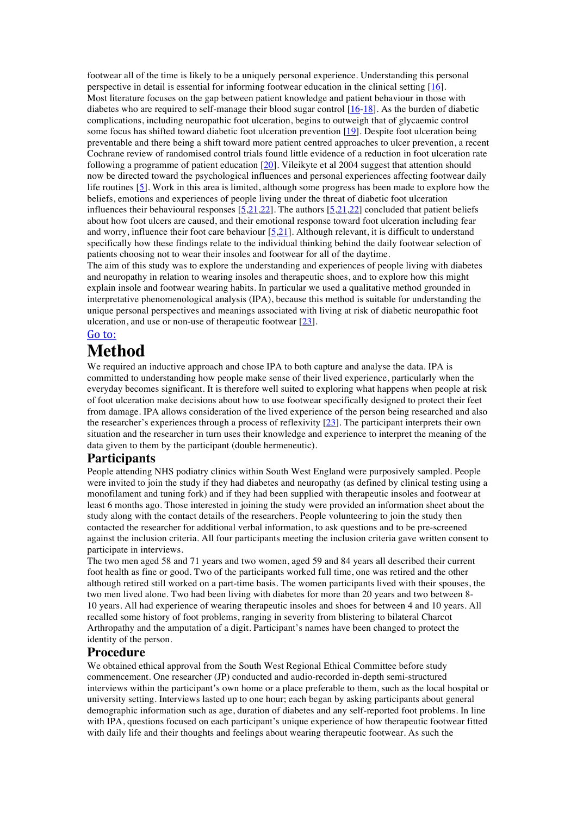footwear all of the time is likely to be a uniquely personal experience. Understanding this personal perspective in detail is essential for informing footwear education in the clinical setting [16]. Most literature focuses on the gap between patient knowledge and patient behaviour in those with diabetes who are required to self-manage their blood sugar control [16-18]. As the burden of diabetic complications, including neuropathic foot ulceration, begins to outweigh that of glycaemic control some focus has shifted toward diabetic foot ulceration prevention [19]. Despite foot ulceration being preventable and there being a shift toward more patient centred approaches to ulcer prevention, a recent Cochrane review of randomised control trials found little evidence of a reduction in foot ulceration rate following a programme of patient education [20]. Vileikyte et al 2004 suggest that attention should now be directed toward the psychological influences and personal experiences affecting footwear daily life routines [5]. Work in this area is limited, although some progress has been made to explore how the beliefs, emotions and experiences of people living under the threat of diabetic foot ulceration influences their behavioural responses  $[5,21,22]$ . The authors  $[5,21,22]$  concluded that patient beliefs about how foot ulcers are caused, and their emotional response toward foot ulceration including fear and worry, influence their foot care behaviour  $[5,21]$ . Although relevant, it is difficult to understand specifically how these findings relate to the individual thinking behind the daily footwear selection of patients choosing not to wear their insoles and footwear for all of the daytime.

The aim of this study was to explore the understanding and experiences of people living with diabetes and neuropathy in relation to wearing insoles and therapeutic shoes, and to explore how this might explain insole and footwear wearing habits. In particular we used a qualitative method grounded in interpretative phenomenological analysis (IPA), because this method is suitable for understanding the unique personal perspectives and meanings associated with living at risk of diabetic neuropathic foot ulceration, and use or non-use of therapeutic footwear [23].

#### Go to:

## **Method**

We required an inductive approach and chose IPA to both capture and analyse the data. IPA is committed to understanding how people make sense of their lived experience, particularly when the everyday becomes significant. It is therefore well suited to exploring what happens when people at risk of foot ulceration make decisions about how to use footwear specifically designed to protect their feet from damage. IPA allows consideration of the lived experience of the person being researched and also the researcher's experiences through a process of reflexivity [23]. The participant interprets their own situation and the researcher in turn uses their knowledge and experience to interpret the meaning of the data given to them by the participant (double hermeneutic).

#### **Participants**

People attending NHS podiatry clinics within South West England were purposively sampled. People were invited to join the study if they had diabetes and neuropathy (as defined by clinical testing using a monofilament and tuning fork) and if they had been supplied with therapeutic insoles and footwear at least 6 months ago. Those interested in joining the study were provided an information sheet about the study along with the contact details of the researchers. People volunteering to join the study then contacted the researcher for additional verbal information, to ask questions and to be pre-screened against the inclusion criteria. All four participants meeting the inclusion criteria gave written consent to participate in interviews.

The two men aged 58 and 71 years and two women, aged 59 and 84 years all described their current foot health as fine or good. Two of the participants worked full time, one was retired and the other although retired still worked on a part-time basis. The women participants lived with their spouses, the two men lived alone. Two had been living with diabetes for more than 20 years and two between 8- 10 years. All had experience of wearing therapeutic insoles and shoes for between 4 and 10 years. All recalled some history of foot problems, ranging in severity from blistering to bilateral Charcot Arthropathy and the amputation of a digit. Participant's names have been changed to protect the identity of the person.

#### **Procedure**

We obtained ethical approval from the South West Regional Ethical Committee before study commencement. One researcher (JP) conducted and audio-recorded in-depth semi-structured interviews within the participant's own home or a place preferable to them, such as the local hospital or university setting. Interviews lasted up to one hour; each began by asking participants about general demographic information such as age, duration of diabetes and any self-reported foot problems. In line with IPA, questions focused on each participant's unique experience of how therapeutic footwear fitted with daily life and their thoughts and feelings about wearing therapeutic footwear. As such the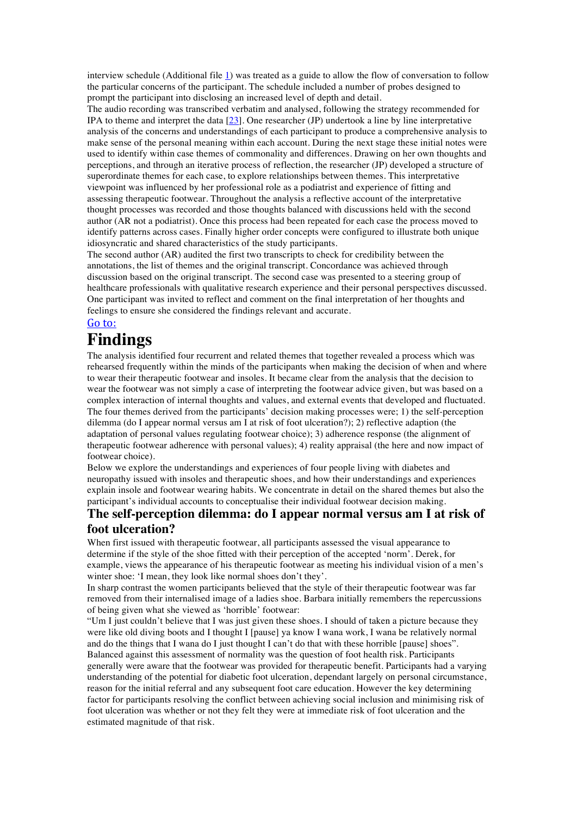interview schedule (Additional file 1) was treated as a guide to allow the flow of conversation to follow the particular concerns of the participant. The schedule included a number of probes designed to prompt the participant into disclosing an increased level of depth and detail.

The audio recording was transcribed verbatim and analysed, following the strategy recommended for IPA to theme and interpret the data [23]. One researcher (JP) undertook a line by line interpretative analysis of the concerns and understandings of each participant to produce a comprehensive analysis to make sense of the personal meaning within each account. During the next stage these initial notes were used to identify within case themes of commonality and differences. Drawing on her own thoughts and perceptions, and through an iterative process of reflection, the researcher (JP) developed a structure of superordinate themes for each case, to explore relationships between themes. This interpretative viewpoint was influenced by her professional role as a podiatrist and experience of fitting and assessing therapeutic footwear. Throughout the analysis a reflective account of the interpretative thought processes was recorded and those thoughts balanced with discussions held with the second author (AR not a podiatrist). Once this process had been repeated for each case the process moved to identify patterns across cases. Finally higher order concepts were configured to illustrate both unique idiosyncratic and shared characteristics of the study participants.

The second author (AR) audited the first two transcripts to check for credibility between the annotations, the list of themes and the original transcript. Concordance was achieved through discussion based on the original transcript. The second case was presented to a steering group of healthcare professionals with qualitative research experience and their personal perspectives discussed. One participant was invited to reflect and comment on the final interpretation of her thoughts and feelings to ensure she considered the findings relevant and accurate.

#### Go to:

# **Findings**

The analysis identified four recurrent and related themes that together revealed a process which was rehearsed frequently within the minds of the participants when making the decision of when and where to wear their therapeutic footwear and insoles. It became clear from the analysis that the decision to wear the footwear was not simply a case of interpreting the footwear advice given, but was based on a complex interaction of internal thoughts and values, and external events that developed and fluctuated. The four themes derived from the participants' decision making processes were; 1) the self-perception dilemma (do I appear normal versus am I at risk of foot ulceration?); 2) reflective adaption (the adaptation of personal values regulating footwear choice); 3) adherence response (the alignment of therapeutic footwear adherence with personal values); 4) reality appraisal (the here and now impact of footwear choice).

Below we explore the understandings and experiences of four people living with diabetes and neuropathy issued with insoles and therapeutic shoes, and how their understandings and experiences explain insole and footwear wearing habits. We concentrate in detail on the shared themes but also the participant's individual accounts to conceptualise their individual footwear decision making.

#### **The self-perception dilemma: do I appear normal versus am I at risk of foot ulceration?**

When first issued with therapeutic footwear, all participants assessed the visual appearance to determine if the style of the shoe fitted with their perception of the accepted 'norm'. Derek, for example, views the appearance of his therapeutic footwear as meeting his individual vision of a men's winter shoe: 'I mean, they look like normal shoes don't they'.

In sharp contrast the women participants believed that the style of their therapeutic footwear was far removed from their internalised image of a ladies shoe. Barbara initially remembers the repercussions of being given what she viewed as 'horrible' footwear:

"Um I just couldn't believe that I was just given these shoes. I should of taken a picture because they were like old diving boots and I thought I [pause] ya know I wana work, I wana be relatively normal and do the things that I wana do I just thought I can't do that with these horrible [pause] shoes". Balanced against this assessment of normality was the question of foot health risk. Participants generally were aware that the footwear was provided for therapeutic benefit. Participants had a varying understanding of the potential for diabetic foot ulceration, dependant largely on personal circumstance, reason for the initial referral and any subsequent foot care education. However the key determining factor for participants resolving the conflict between achieving social inclusion and minimising risk of foot ulceration was whether or not they felt they were at immediate risk of foot ulceration and the estimated magnitude of that risk.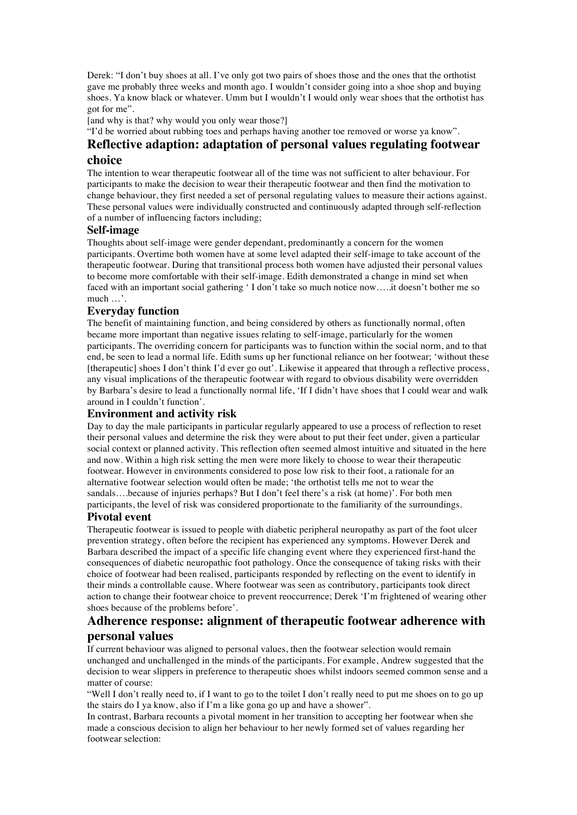Derek: "I don't buy shoes at all. I've only got two pairs of shoes those and the ones that the orthotist gave me probably three weeks and month ago. I wouldn't consider going into a shoe shop and buying shoes. Ya know black or whatever. Umm but I wouldn't I would only wear shoes that the orthotist has got for me".

[and why is that? why would you only wear those?]

"I'd be worried about rubbing toes and perhaps having another toe removed or worse ya know".

#### **Reflective adaption: adaptation of personal values regulating footwear choice**

The intention to wear therapeutic footwear all of the time was not sufficient to alter behaviour. For participants to make the decision to wear their therapeutic footwear and then find the motivation to change behaviour, they first needed a set of personal regulating values to measure their actions against. These personal values were individually constructed and continuously adapted through self-reflection of a number of influencing factors including;

#### **Self-image**

Thoughts about self-image were gender dependant, predominantly a concern for the women participants. Overtime both women have at some level adapted their self-image to take account of the therapeutic footwear. During that transitional process both women have adjusted their personal values to become more comfortable with their self-image. Edith demonstrated a change in mind set when faced with an important social gathering ' I don't take so much notice now…..it doesn't bother me so much …'.

#### **Everyday function**

The benefit of maintaining function, and being considered by others as functionally normal, often became more important than negative issues relating to self-image, particularly for the women participants. The overriding concern for participants was to function within the social norm, and to that end, be seen to lead a normal life. Edith sums up her functional reliance on her footwear; 'without these [therapeutic] shoes I don't think I'd ever go out'. Likewise it appeared that through a reflective process, any visual implications of the therapeutic footwear with regard to obvious disability were overridden by Barbara's desire to lead a functionally normal life, 'If I didn't have shoes that I could wear and walk around in I couldn't function'.

#### **Environment and activity risk**

Day to day the male participants in particular regularly appeared to use a process of reflection to reset their personal values and determine the risk they were about to put their feet under, given a particular social context or planned activity. This reflection often seemed almost intuitive and situated in the here and now. Within a high risk setting the men were more likely to choose to wear their therapeutic footwear. However in environments considered to pose low risk to their foot, a rationale for an alternative footwear selection would often be made; 'the orthotist tells me not to wear the sandals….because of injuries perhaps? But I don't feel there's a risk (at home)'. For both men participants, the level of risk was considered proportionate to the familiarity of the surroundings.

#### **Pivotal event**

Therapeutic footwear is issued to people with diabetic peripheral neuropathy as part of the foot ulcer prevention strategy, often before the recipient has experienced any symptoms. However Derek and Barbara described the impact of a specific life changing event where they experienced first-hand the consequences of diabetic neuropathic foot pathology. Once the consequence of taking risks with their choice of footwear had been realised, participants responded by reflecting on the event to identify in their minds a controllable cause. Where footwear was seen as contributory, participants took direct action to change their footwear choice to prevent reoccurrence; Derek 'I'm frightened of wearing other shoes because of the problems before'.

#### **Adherence response: alignment of therapeutic footwear adherence with personal values**

If current behaviour was aligned to personal values, then the footwear selection would remain unchanged and unchallenged in the minds of the participants. For example, Andrew suggested that the decision to wear slippers in preference to therapeutic shoes whilst indoors seemed common sense and a matter of course:

"Well I don't really need to, if I want to go to the toilet I don't really need to put me shoes on to go up the stairs do I ya know, also if I'm a like gona go up and have a shower".

In contrast, Barbara recounts a pivotal moment in her transition to accepting her footwear when she made a conscious decision to align her behaviour to her newly formed set of values regarding her footwear selection: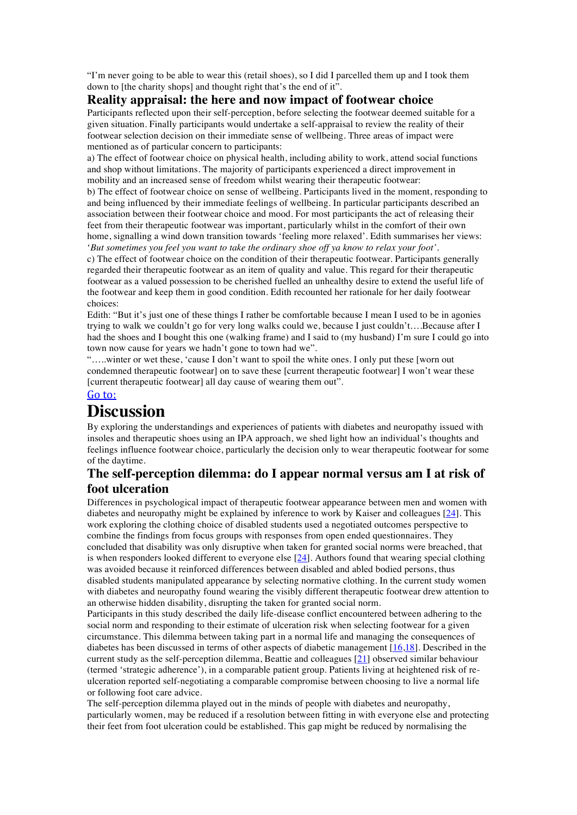"I'm never going to be able to wear this (retail shoes), so I did I parcelled them up and I took them down to [the charity shops] and thought right that's the end of it".

#### **Reality appraisal: the here and now impact of footwear choice**

Participants reflected upon their self-perception, before selecting the footwear deemed suitable for a given situation. Finally participants would undertake a self-appraisal to review the reality of their footwear selection decision on their immediate sense of wellbeing. Three areas of impact were mentioned as of particular concern to participants:

a) The effect of footwear choice on physical health, including ability to work, attend social functions and shop without limitations. The majority of participants experienced a direct improvement in mobility and an increased sense of freedom whilst wearing their therapeutic footwear:

b) The effect of footwear choice on sense of wellbeing. Participants lived in the moment, responding to and being influenced by their immediate feelings of wellbeing. In particular participants described an association between their footwear choice and mood. For most participants the act of releasing their feet from their therapeutic footwear was important, particularly whilst in the comfort of their own home, signalling a wind down transition towards 'feeling more relaxed'. Edith summarises her views: '*But sometimes you feel you want to take the ordinary shoe off ya know to relax your foot'.*

c) The effect of footwear choice on the condition of their therapeutic footwear. Participants generally regarded their therapeutic footwear as an item of quality and value. This regard for their therapeutic footwear as a valued possession to be cherished fuelled an unhealthy desire to extend the useful life of the footwear and keep them in good condition. Edith recounted her rationale for her daily footwear choices:

Edith: "But it's just one of these things I rather be comfortable because I mean I used to be in agonies trying to walk we couldn't go for very long walks could we, because I just couldn't….Because after I had the shoes and I bought this one (walking frame) and I said to (my husband) I'm sure I could go into town now cause for years we hadn't gone to town had we".

"…..winter or wet these, 'cause I don't want to spoil the white ones. I only put these [worn out condemned therapeutic footwear] on to save these [current therapeutic footwear] I won't wear these [current therapeutic footwear] all day cause of wearing them out".

#### Go to:

# **Discussion**

By exploring the understandings and experiences of patients with diabetes and neuropathy issued with insoles and therapeutic shoes using an IPA approach, we shed light how an individual's thoughts and feelings influence footwear choice, particularly the decision only to wear therapeutic footwear for some of the daytime.

#### **The self-perception dilemma: do I appear normal versus am I at risk of foot ulceration**

Differences in psychological impact of therapeutic footwear appearance between men and women with diabetes and neuropathy might be explained by inference to work by Kaiser and colleagues  $[24]$ . This work exploring the clothing choice of disabled students used a negotiated outcomes perspective to combine the findings from focus groups with responses from open ended questionnaires. They concluded that disability was only disruptive when taken for granted social norms were breached, that is when responders looked different to everyone else  $[24]$ . Authors found that wearing special clothing was avoided because it reinforced differences between disabled and abled bodied persons, thus disabled students manipulated appearance by selecting normative clothing. In the current study women with diabetes and neuropathy found wearing the visibly different therapeutic footwear drew attention to an otherwise hidden disability, disrupting the taken for granted social norm.

Participants in this study described the daily life-disease conflict encountered between adhering to the social norm and responding to their estimate of ulceration risk when selecting footwear for a given circumstance. This dilemma between taking part in a normal life and managing the consequences of diabetes has been discussed in terms of other aspects of diabetic management [16,18]. Described in the current study as the self-perception dilemma, Beattie and colleagues [21] observed similar behaviour (termed 'strategic adherence'), in a comparable patient group. Patients living at heightened risk of reulceration reported self-negotiating a comparable compromise between choosing to live a normal life or following foot care advice.

The self-perception dilemma played out in the minds of people with diabetes and neuropathy, particularly women, may be reduced if a resolution between fitting in with everyone else and protecting their feet from foot ulceration could be established. This gap might be reduced by normalising the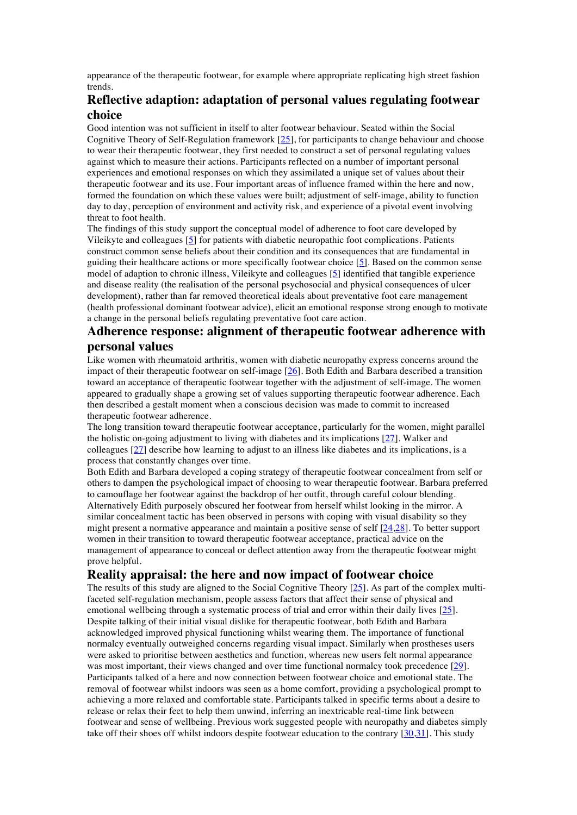appearance of the therapeutic footwear, for example where appropriate replicating high street fashion trends.

#### **Reflective adaption: adaptation of personal values regulating footwear choice**

Good intention was not sufficient in itself to alter footwear behaviour. Seated within the Social Cognitive Theory of Self-Regulation framework [25], for participants to change behaviour and choose to wear their therapeutic footwear, they first needed to construct a set of personal regulating values against which to measure their actions. Participants reflected on a number of important personal experiences and emotional responses on which they assimilated a unique set of values about their therapeutic footwear and its use. Four important areas of influence framed within the here and now, formed the foundation on which these values were built; adjustment of self-image, ability to function day to day, perception of environment and activity risk, and experience of a pivotal event involving threat to foot health.

The findings of this study support the conceptual model of adherence to foot care developed by Vileikyte and colleagues  $[5]$  for patients with diabetic neuropathic foot complications. Patients construct common sense beliefs about their condition and its consequences that are fundamental in guiding their healthcare actions or more specifically footwear choice [5]. Based on the common sense model of adaption to chronic illness, Vileikyte and colleagues  $[5]$  identified that tangible experience and disease reality (the realisation of the personal psychosocial and physical consequences of ulcer development), rather than far removed theoretical ideals about preventative foot care management (health professional dominant footwear advice), elicit an emotional response strong enough to motivate a change in the personal beliefs regulating preventative foot care action.

#### **Adherence response: alignment of therapeutic footwear adherence with personal values**

Like women with rheumatoid arthritis, women with diabetic neuropathy express concerns around the impact of their therapeutic footwear on self-image [26]. Both Edith and Barbara described a transition toward an acceptance of therapeutic footwear together with the adjustment of self-image. The women appeared to gradually shape a growing set of values supporting therapeutic footwear adherence. Each then described a gestalt moment when a conscious decision was made to commit to increased therapeutic footwear adherence.

The long transition toward therapeutic footwear acceptance, particularly for the women, might parallel the holistic on-going adjustment to living with diabetes and its implications [27]. Walker and colleagues [27] describe how learning to adjust to an illness like diabetes and its implications, is a process that constantly changes over time.

Both Edith and Barbara developed a coping strategy of therapeutic footwear concealment from self or others to dampen the psychological impact of choosing to wear therapeutic footwear. Barbara preferred to camouflage her footwear against the backdrop of her outfit, through careful colour blending. Alternatively Edith purposely obscured her footwear from herself whilst looking in the mirror. A similar concealment tactic has been observed in persons with coping with visual disability so they might present a normative appearance and maintain a positive sense of self [24,28]. To better support women in their transition to toward therapeutic footwear acceptance, practical advice on the management of appearance to conceal or deflect attention away from the therapeutic footwear might prove helpful.

#### **Reality appraisal: the here and now impact of footwear choice**

The results of this study are aligned to the Social Cognitive Theory [25]. As part of the complex multifaceted self-regulation mechanism, people assess factors that affect their sense of physical and emotional wellbeing through a systematic process of trial and error within their daily lives [25]. Despite talking of their initial visual dislike for therapeutic footwear, both Edith and Barbara acknowledged improved physical functioning whilst wearing them. The importance of functional normalcy eventually outweighed concerns regarding visual impact. Similarly when prostheses users were asked to prioritise between aesthetics and function, whereas new users felt normal appearance was most important, their views changed and over time functional normalcy took precedence [29]. Participants talked of a here and now connection between footwear choice and emotional state. The removal of footwear whilst indoors was seen as a home comfort, providing a psychological prompt to achieving a more relaxed and comfortable state. Participants talked in specific terms about a desire to release or relax their feet to help them unwind, inferring an inextricable real-time link between footwear and sense of wellbeing. Previous work suggested people with neuropathy and diabetes simply take off their shoes off whilst indoors despite footwear education to the contrary [30,31]. This study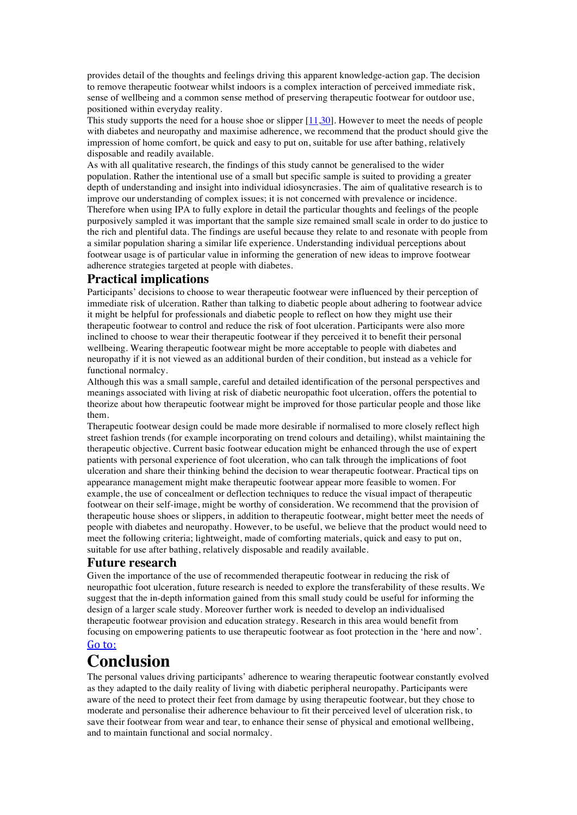provides detail of the thoughts and feelings driving this apparent knowledge-action gap. The decision to remove therapeutic footwear whilst indoors is a complex interaction of perceived immediate risk, sense of wellbeing and a common sense method of preserving therapeutic footwear for outdoor use, positioned within everyday reality.

This study supports the need for a house shoe or slipper  $[11,30]$ . However to meet the needs of people with diabetes and neuropathy and maximise adherence, we recommend that the product should give the impression of home comfort, be quick and easy to put on, suitable for use after bathing, relatively disposable and readily available.

As with all qualitative research, the findings of this study cannot be generalised to the wider population. Rather the intentional use of a small but specific sample is suited to providing a greater depth of understanding and insight into individual idiosyncrasies. The aim of qualitative research is to improve our understanding of complex issues; it is not concerned with prevalence or incidence. Therefore when using IPA to fully explore in detail the particular thoughts and feelings of the people purposively sampled it was important that the sample size remained small scale in order to do justice to the rich and plentiful data. The findings are useful because they relate to and resonate with people from a similar population sharing a similar life experience. Understanding individual perceptions about footwear usage is of particular value in informing the generation of new ideas to improve footwear adherence strategies targeted at people with diabetes.

#### **Practical implications**

Participants' decisions to choose to wear therapeutic footwear were influenced by their perception of immediate risk of ulceration. Rather than talking to diabetic people about adhering to footwear advice it might be helpful for professionals and diabetic people to reflect on how they might use their therapeutic footwear to control and reduce the risk of foot ulceration. Participants were also more inclined to choose to wear their therapeutic footwear if they perceived it to benefit their personal wellbeing. Wearing therapeutic footwear might be more acceptable to people with diabetes and neuropathy if it is not viewed as an additional burden of their condition, but instead as a vehicle for functional normalcy.

Although this was a small sample, careful and detailed identification of the personal perspectives and meanings associated with living at risk of diabetic neuropathic foot ulceration, offers the potential to theorize about how therapeutic footwear might be improved for those particular people and those like them.

Therapeutic footwear design could be made more desirable if normalised to more closely reflect high street fashion trends (for example incorporating on trend colours and detailing), whilst maintaining the therapeutic objective. Current basic footwear education might be enhanced through the use of expert patients with personal experience of foot ulceration, who can talk through the implications of foot ulceration and share their thinking behind the decision to wear therapeutic footwear. Practical tips on appearance management might make therapeutic footwear appear more feasible to women. For example, the use of concealment or deflection techniques to reduce the visual impact of therapeutic footwear on their self-image, might be worthy of consideration. We recommend that the provision of therapeutic house shoes or slippers, in addition to therapeutic footwear, might better meet the needs of people with diabetes and neuropathy. However, to be useful, we believe that the product would need to meet the following criteria; lightweight, made of comforting materials, quick and easy to put on, suitable for use after bathing, relatively disposable and readily available.

#### **Future research**

Given the importance of the use of recommended therapeutic footwear in reducing the risk of neuropathic foot ulceration, future research is needed to explore the transferability of these results. We suggest that the in-depth information gained from this small study could be useful for informing the design of a larger scale study. Moreover further work is needed to develop an individualised therapeutic footwear provision and education strategy. Research in this area would benefit from focusing on empowering patients to use therapeutic footwear as foot protection in the 'here and now'. Go to:

## **Conclusion**

The personal values driving participants' adherence to wearing therapeutic footwear constantly evolved as they adapted to the daily reality of living with diabetic peripheral neuropathy. Participants were aware of the need to protect their feet from damage by using therapeutic footwear, but they chose to moderate and personalise their adherence behaviour to fit their perceived level of ulceration risk, to save their footwear from wear and tear, to enhance their sense of physical and emotional wellbeing, and to maintain functional and social normalcy.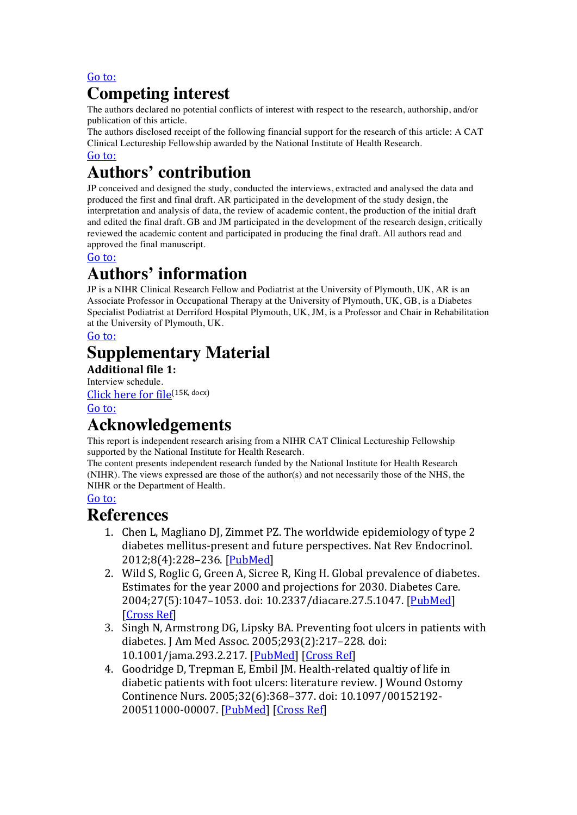#### Go to:

# **Competing interest**

The authors declared no potential conflicts of interest with respect to the research, authorship, and/or publication of this article.

The authors disclosed receipt of the following financial support for the research of this article: A CAT Clinical Lectureship Fellowship awarded by the National Institute of Health Research.

### Go to:

# **Authors' contribution**

JP conceived and designed the study, conducted the interviews, extracted and analysed the data and produced the first and final draft. AR participated in the development of the study design, the interpretation and analysis of data, the review of academic content, the production of the initial draft and edited the final draft. GB and JM participated in the development of the research design, critically reviewed the academic content and participated in producing the final draft. All authors read and approved the final manuscript.

#### Go to:

# **Authors' information**

JP is a NIHR Clinical Research Fellow and Podiatrist at the University of Plymouth, UK, AR is an Associate Professor in Occupational Therapy at the University of Plymouth, UK, GB, is a Diabetes Specialist Podiatrist at Derriford Hospital Plymouth, UK, JM, is a Professor and Chair in Rehabilitation at the University of Plymouth, UK.

#### Go to:

# **Supplementary Material**

Additional file 1: Interview schedule. Click here for file(15K, docx) Go to:

# **Acknowledgements**

This report is independent research arising from a NIHR CAT Clinical Lectureship Fellowship supported by the National Institute for Health Research.

The content presents independent research funded by the National Institute for Health Research (NIHR). The views expressed are those of the author(s) and not necessarily those of the NHS, the NIHR or the Department of Health.

#### Go to:

# **References**

- 1. Chen L, Magliano DJ, Zimmet PZ. The worldwide epidemiology of type 2 diabetes mellitus-present and future perspectives. Nat Rev Endocrinol. 2012;8(4):228-236. [PubMed]
- 2. Wild S, Roglic G, Green A, Sicree R, King H. Global prevalence of diabetes. Estimates for the year 2000 and projections for 2030. Diabetes Care. 2004;27(5):1047-1053. doi: 10.2337/diacare.27.5.1047. [PubMed] **[Cross Ref]**
- 3. Singh N, Armstrong DG, Lipsky BA. Preventing foot ulcers in patients with diabetes. J Am Med Assoc. 2005;293(2):217-228. doi: 10.1001/jama.293.2.217. [PubMed] [Cross Ref]
- 4. Goodridge D, Trepman E, Embil JM. Health-related qualtiy of life in diabetic patients with foot ulcers: literature review. J Wound Ostomy Continence Nurs. 2005;32(6):368-377. doi: 10.1097/00152192-200511000-00007. [PubMed] [Cross Ref]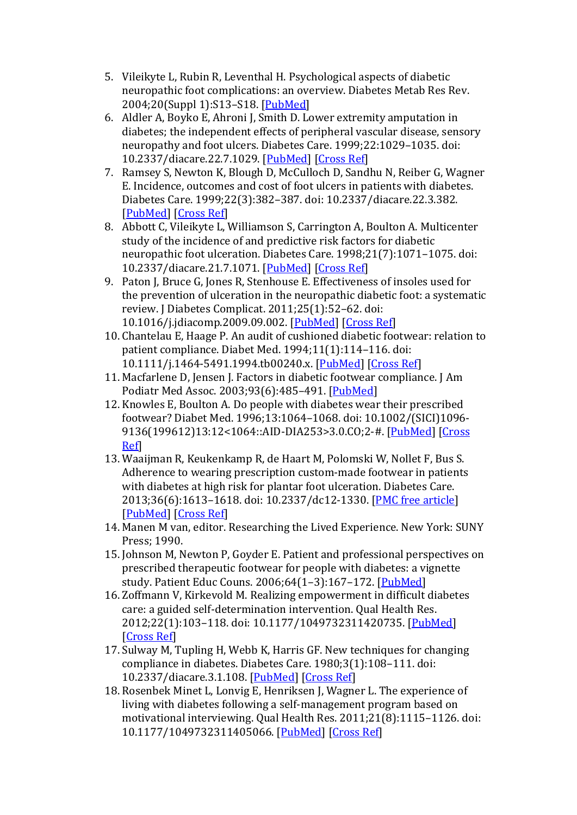- 5. Vileikyte L, Rubin R, Leventhal H. Psychological aspects of diabetic neuropathic foot complications: an overview. Diabetes Metab Res Rev. 2004;20(Suppl 1):S13-S18. [PubMed]
- 6. Aldler A, Boyko E, Ahroni J, Smith D. Lower extremity amputation in diabetes; the independent effects of peripheral vascular disease, sensory neuropathy and foot ulcers. Diabetes Care. 1999:22:1029-1035. doi: 10.2337/diacare.22.7.1029. [PubMed] [Cross Ref]
- 7. Ramsey S, Newton K, Blough D, McCulloch D, Sandhu N, Reiber G, Wagner E. Incidence, outcomes and cost of foot ulcers in patients with diabetes. Diabetes Care. 1999;22(3):382–387. doi: 10.2337/diacare.22.3.382. [PubMed] [Cross Ref]
- 8. Abbott C, Vileikyte L, Williamson S, Carrington A, Boulton A. Multicenter study of the incidence of and predictive risk factors for diabetic neuropathic foot ulceration. Diabetes Care. 1998;21(7):1071-1075. doi: 10.2337/diacare.21.7.1071. [PubMed] [Cross Ref]
- 9. Paton J, Bruce G, Jones R, Stenhouse E. Effectiveness of insoles used for the prevention of ulceration in the neuropathic diabetic foot: a systematic review. J Diabetes Complicat. 2011;25(1):52-62. doi: 10.1016/j.jdiacomp.2009.09.002. [PubMed] [Cross Ref]
- 10. Chantelau E. Haage P. An audit of cushioned diabetic footwear: relation to patient compliance. Diabet Med. 1994;11(1):114-116. doi: 10.1111/j.1464-5491.1994.tb00240.x. [PubMed] [Cross Ref]
- 11. Macfarlene D, Jensen J. Factors in diabetic footwear compliance. J Am Podiatr Med Assoc. 2003;93(6):485-491. [PubMed]
- 12. Knowles E, Boulton A. Do people with diabetes wear their prescribed footwear? Diabet Med. 1996;13:1064–1068. doi: 10.1002/(SICI)1096- 9136(199612)13:12<1064::AID-DIA253>3.0.CO;2-#. [PubMed] [Cross Ref]
- 13. Waaijman R, Keukenkamp R, de Haart M, Polomski W, Nollet F, Bus S. Adherence to wearing prescription custom-made footwear in patients with diabetes at high risk for plantar foot ulceration. Diabetes Care. 2013;36(6):1613-1618. doi: 10.2337/dc12-1330. [PMC free article] [PubMed] [Cross Ref]
- 14. Manen M van, editor. Researching the Lived Experience. New York: SUNY Press: 1990.
- 15. Johnson M, Newton P, Goyder E. Patient and professional perspectives on prescribed therapeutic footwear for people with diabetes: a vignette study. Patient Educ Couns. 2006;64(1-3):167-172. [PubMed]
- 16. Zoffmann V, Kirkevold M. Realizing empowerment in difficult diabetes care: a guided self-determination intervention. Oual Health Res. 2012;22(1):103-118. doi: 10.1177/1049732311420735. [PubMed] [Cross Ref]
- 17. Sulway M, Tupling H, Webb K, Harris GF. New techniques for changing compliance in diabetes. Diabetes Care. 1980;3(1):108-111. doi: 10.2337/diacare.3.1.108. [PubMed] [Cross Ref]
- 18. Rosenbek Minet L, Lonvig E, Henriksen J, Wagner L. The experience of living with diabetes following a self-management program based on motivational interviewing. Qual Health Res. 2011;21(8):1115–1126. doi: 10.1177/1049732311405066. [PubMed] [Cross Ref]